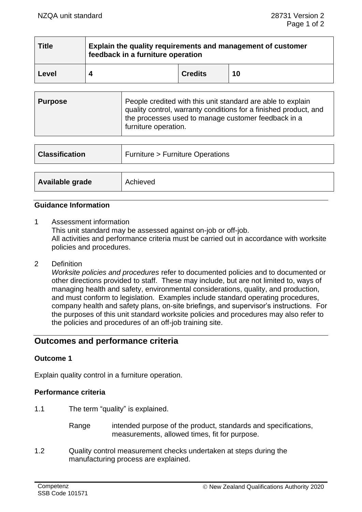| <b>Title</b> | Explain the quality requirements and management of customer<br>feedback in a furniture operation |                |    |  |
|--------------|--------------------------------------------------------------------------------------------------|----------------|----|--|
| Level        |                                                                                                  | <b>Credits</b> | 10 |  |

| <b>Purpose</b> | People credited with this unit standard are able to explain<br>quality control, warranty conditions for a finished product, and<br>the processes used to manage customer feedback in a<br>furniture operation. |
|----------------|----------------------------------------------------------------------------------------------------------------------------------------------------------------------------------------------------------------|
|----------------|----------------------------------------------------------------------------------------------------------------------------------------------------------------------------------------------------------------|

| <b>Classification</b> | <b>Furniture &gt; Furniture Operations</b> |  |
|-----------------------|--------------------------------------------|--|
|                       |                                            |  |
| Available grade       | Achieved                                   |  |

# **Guidance Information**

1 Assessment information

This unit standard may be assessed against on-job or off-job. All activities and performance criteria must be carried out in accordance with worksite policies and procedures.

2 Definition

*Worksite policies and procedures* refer to documented policies and to documented or other directions provided to staff. These may include, but are not limited to, ways of managing health and safety, environmental considerations, quality, and production, and must conform to legislation. Examples include standard operating procedures, company health and safety plans, on-site briefings, and supervisor's instructions. For the purposes of this unit standard worksite policies and procedures may also refer to the policies and procedures of an off-job training site.

# **Outcomes and performance criteria**

# **Outcome 1**

Explain quality control in a furniture operation.

#### **Performance criteria**

1.1 The term "quality" is explained.

Range intended purpose of the product, standards and specifications, measurements, allowed times, fit for purpose.

1.2 Quality control measurement checks undertaken at steps during the manufacturing process are explained.